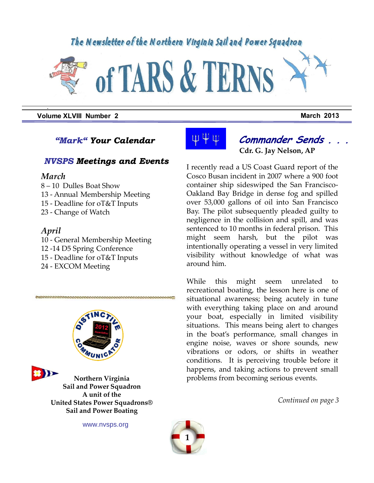## The Newsletter of the Northern Virginia Sail and Power Squadron



**Volume XLVIII Number 2 March 2013** 

### *"Mark" Your Calendar*

### *NVSPS Meetings and Events*

#### *March*

*.*

- 8 10 Dulles Boat Show
- 13 Annual Membership Meeting
- 15 Deadline for oT&T Inputs
- 23 Change of Watch

#### *April*

そうしんりょうにんりょうしき

- 10 General Membership Meeting 12 -14 D5 Spring Conference 15 - Deadline for oT&T Inputs
- 
- 24 EXCOM Meeting





**Northern Virginia Sail and Power Squadron A unit of the United States Power Squadrons® Sail and Power Boating**

www.nvsps.org



## **Commander Sends . . . Cdr. G. Jay Nelson, AP**

I recently read a US Coast Guard report of the Cosco Busan incident in 2007 where a 900 foot container ship sideswiped the San Francisco-Oakland Bay Bridge in dense fog and spilled over 53,000 gallons of oil into San Francisco Bay. The pilot subsequently pleaded guilty to negligence in the collision and spill, and was sentenced to 10 months in federal prison. This might seem harsh, but the pilot was intentionally operating a vessel in very limited visibility without knowledge of what was around him.

While this might seem unrelated recreational boating, the lesson here is one of situational awareness; being acutely in tune with everything taking place on and around your boat, especially in limited visibility situations. This means being alert to changes in the boat's performance, small changes in engine noise, waves or shore sounds, new vibrations or odors, or shifts in weather conditions. It is perceiving trouble before it happens, and taking actions to prevent small problems from becoming serious events.

*Continued on page 3*

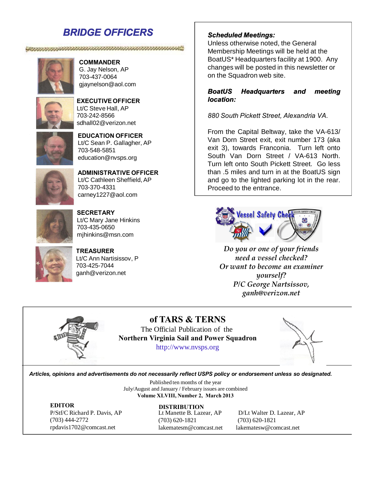## *BRIDGE OFFICERS*

#### 



#### **COMMANDER** G. Jay Nelson, AP

703-437-0064 gjaynelson@aol.com



**EXECUTIVE OFFICER** Lt/C Steve Hall, AP 703-242-8566 sdhall02@verizon.net



#### **EDUCATION OFFICER** Lt/C Sean P. Gallagher, AP 703-548-5851

education@nvsps.org



**ADMINISTRATIVE OFFICER** Lt/C Cathleen Sheffield, AP 703-370-4331 carney1227@aol.com



**SECRETARY** Lt/C Mary Jane Hinkins 703-435-0650 mjhinkins@msn.com



**TREASURER** Lt/C Ann Nartisissov, P 703-425-7044 ganh@verizon.net

#### *Scheduled Meetings:*

Unless otherwise noted, the General Membership Meetings will be held at the BoatUS\* Headquarters facility at 1900. Any changes will be posted in this newsletter or on the Squadron web site.

#### *BoatUS Headquarters and meeting location:*

*880 South Pickett Street, Alexandria VA.*

From the Capital Beltway, take the VA-613/ Van Dorn Street exit, exit number 173 (aka exit 3), towards Franconia. Turn left onto South Van Dorn Street / VA-613 North. Turn left onto South Pickett Street. Go less than .5 miles and turn in at the BoatUS sign and go to the lighted parking lot in the rear. Proceed to the entrance.



*Do you or one of your friends need a vessel checked? Or want to become an examiner yourself? P/C George Nartsissov, ganh@verizon.net*



**of TARS & TERNS** The Official Publication of the **Northern Virginia Sail and Power Squadron** http://www.nvsps.org



*Articles, opinions and advertisements do not necessarily reflect USPS policy or endorsement unless so designated.*

Published ten months of the year July/August and January / February issues are combined **Volume XLVIII, Number 2, March 2013**

**EDITOR** P/Stf/C Richard P. Davis, AP (703) 444-2772 rpdavis1702@comcast.net

(703) 620-1821 (703) 620-1821 lakematesm@comcast.net lakematesw@comcast.net **DISTRIBUTION**

Lt Manette B. Lazear, AP D/Lt Walter D. Lazear, AP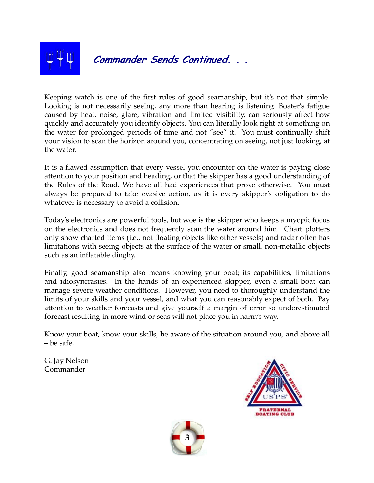

## **Commander Sends Continued. . .**

Keeping watch is one of the first rules of good seamanship, but it's not that simple. Looking is not necessarily seeing, any more than hearing is listening. Boater's fatigue caused by heat, noise, glare, vibration and limited visibility, can seriously affect how quickly and accurately you identify objects. You can literally look right at something on the water for prolonged periods of time and not "see" it. You must continually shift your vision to scan the horizon around you, concentrating on seeing, not just looking, at the water.

It is a flawed assumption that every vessel you encounter on the water is paying close attention to your position and heading, or that the skipper has a good understanding of the Rules of the Road. We have all had experiences that prove otherwise. You must always be prepared to take evasive action, as it is every skipper's obligation to do whatever is necessary to avoid a collision.

Today's electronics are powerful tools, but woe is the skipper who keeps a myopic focus on the electronics and does not frequently scan the water around him. Chart plotters only show charted items (i.e., not floating objects like other vessels) and radar often has limitations with seeing objects at the surface of the water or small, non-metallic objects such as an inflatable dinghy.

Finally, good seamanship also means knowing your boat; its capabilities, limitations and idiosyncrasies. In the hands of an experienced skipper, even a small boat can manage severe weather conditions. However, you need to thoroughly understand the limits of your skills and your vessel, and what you can reasonably expect of both. Pay attention to weather forecasts and give yourself a margin of error so underestimated forecast resulting in more wind or seas will not place you in harm's way.

Know your boat, know your skills, be aware of the situation around you, and above all – be safe.

G. Jay Nelson Commander



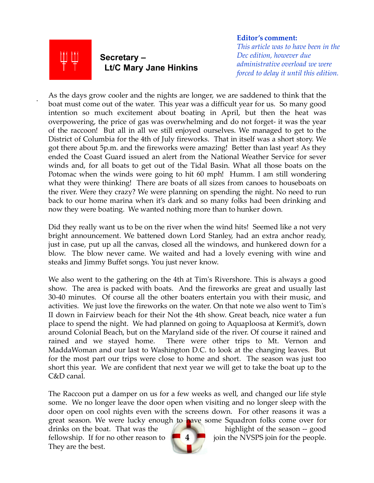

.

## **Secretary – Lt/C Mary Jane Hinkins**

**Editor's comment:**

*This article was to have been in the Dec edition, however due administrative overload we were forced to delay it until this edition.*

As the days grow cooler and the nights are longer, we are saddened to think that the boat must come out of the water. This year was a difficult year for us. So many good intention so much excitement about boating in April, but then the heat was overpowering, the price of gas was overwhelming and do not forget- it was the year of the raccoon! But all in all we still enjoyed ourselves. We managed to get to the District of Columbia for the 4th of July fireworks. That in itself was a short story. We got there about 5p.m. and the fireworks were amazing! Better than last year! As they ended the Coast Guard issued an alert from the National Weather Service for sever winds and, for all boats to get out of the Tidal Basin. What all those boats on the Potomac when the winds were going to hit 60 mph! Humm. I am still wondering what they were thinking! There are boats of all sizes from canoes to houseboats on the river. Were they crazy? We were planning on spending the night. No need to run back to our home marina when it's dark and so many folks had been drinking and now they were boating. We wanted nothing more than to hunker down.

Did they really want us to be on the river when the wind hits! Seemed like a not very bright announcement. We battened down Lord Stanley, had an extra anchor ready, just in case, put up all the canvas, closed all the windows, and hunkered down for a blow. The blow never came. We waited and had a lovely evening with wine and steaks and Jimmy Buffet songs. You just never know.

We also went to the gathering on the 4th at Tim's Rivershore. This is always a good show. The area is packed with boats. And the fireworks are great and usually last 30-40 minutes. Of course all the other boaters entertain you with their music, and activities. We just love the fireworks on the water. On that note we also went to Tim's II down in Fairview beach for their Not the 4th show. Great beach, nice water a fun place to spend the night. We had planned on going to Aquaploosa at Kermit's, down around Colonial Beach, but on the Maryland side of the river. Of course it rained and rained and we stayed home. There were other trips to Mt. Vernon and MaddaWoman and our last to Washington D.C. to look at the changing leaves. But for the most part our trips were close to home and short. The season was just too short this year. We are confident that next year we will get to take the boat up to the C&D canal.

The Raccoon put a damper on us for a few weeks as well, and changed our life style some. We no longer leave the door open when visiting and no longer sleep with the door open on cool nights even with the screens down. For other reasons it was a great season. We were lucky enough to have some Squadron folks come over for

drinks on the boat. That was the highlight of the season -- good fellowship. If for no other reason to  $\begin{array}{|c|c|c|c|c|c|} \hline 4 & j$  join the NVSPS join for the people. They are the best.

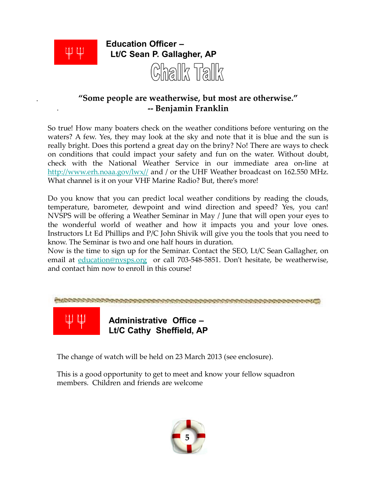

.

.

## **"Some people are weatherwise, but most are otherwise." -- Benjamin Franklin**

So true! How many boaters check on the weather conditions before venturing on the waters? A few. Yes, they may look at the sky and note that it is blue and the sun is really bright. Does this portend a great day on the briny? No! There are ways to check on conditions that could impact your safety and fun on the water. Without doubt, check with the National Weather Service in our immediate area on-line at http://www.erh.noaa.gov/lwx// and / or the UHF Weather broadcast on 162.550 MHz. What channel is it on your VHF Marine Radio? But, there's more!

Do you know that you can predict local weather conditions by reading the clouds, temperature, barometer, dewpoint and wind direction and speed? Yes, you can! NVSPS will be offering a Weather Seminar in May / June that will open your eyes to the wonderful world of weather and how it impacts you and your love ones. Instructors Lt Ed Phillips and P/C John Shivik will give you the tools that you need to know. The Seminar is two and one half hours in duration.

Now is the time to sign up for the Seminar. Contact the SEO, Lt/C Sean Gallagher, on email at education@nvsps.org or call 703-548-5851. Don't hesitate, be weatherwise, and contact him now to enroll in this course!



The change of watch will be held on 23 March 2013 (see enclosure).

This is a good opportunity to get to meet and know your fellow squadron members. Children and friends are welcome

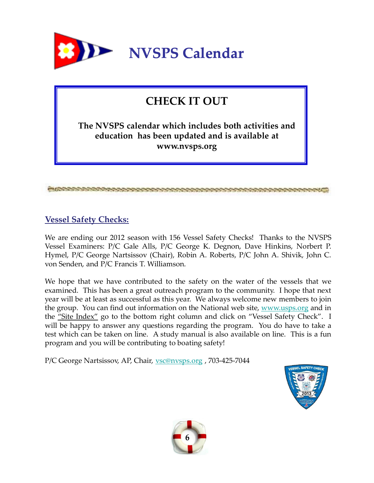

# **CHECK IT OUT**

**The NVSPS calendar which includes both activities and education has been updated and is available at www.nvsps.org**

### **Vessel Safety Checks:**

We are ending our 2012 season with 156 Vessel Safety Checks! Thanks to the NVSPS Vessel Examiners: P/C Gale Alls, P/C George K. Degnon, Dave Hinkins, Norbert P. Hymel, P/C George Nartsissov (Chair), Robin A. Roberts, P/C John A. Shivik, John C. von Senden, and P/C Francis T. Williamson.

We hope that we have contributed to the safety on the water of the vessels that we examined. This has been a great outreach program to the community. I hope that next year will be at least as successful as this year. We always welcome new members to join the group. You can find out information on the National web site, www.usps.org and in the "Site Index" go to the bottom right column and click on "Vessel Safety Check". I will be happy to answer any questions regarding the program. You do have to take a test which can be taken on line. A study manual is also available on line. This is a fun program and you will be contributing to boating safety!

P/C George Nartsissov, AP, Chair, <u>vsc@nvsps.org</u>, 703-425-7044



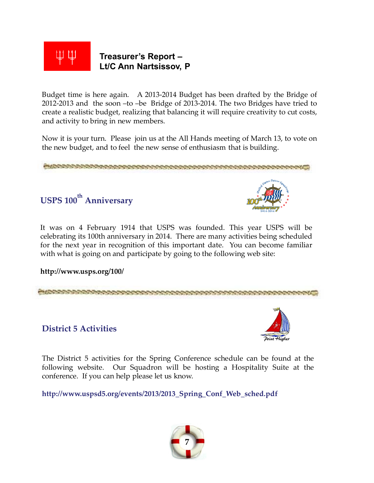

Budget time is here again. A 2013-2014 Budget has been drafted by the Bridge of 2012-2013 and the soon –to –be Bridge of 2013-2014. The two Bridges have tried to create a realistic budget, realizing that balancing it will require creativity to cut costs, and activity to bring in new members.

Now it is your turn. Please join us at the All Hands meeting of March 13, to vote on the new budget, and to feel the new sense of enthusiasm that is building.



It was on 4 February 1914 that USPS was founded. This year USPS will be celebrating its 100th anniversary in 2014. There are many activities being scheduled for the next year in recognition of this important date. You can become familiar with what is going on and participate by going to the following web site:

**http://www.usps.org/100/**



### **District 5 Activities**



The District 5 activities for the Spring Conference schedule can be found at the following website. Our Squadron will be hosting a Hospitality Suite at the conference. If you can help please let us know.

**http://www.uspsd5.org/events/2013/2013\_Spring\_Conf\_Web\_sched.pdf**

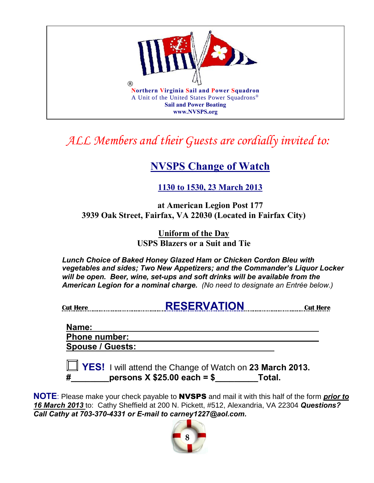

# *ALL Members and their Guests are cordially invited to:*

# **NVSPS Change of Watch**

## **1130 to 1530, 23 March 2013**

**at American Legion Post 177 3939 Oak Street, Fairfax, VA 22030 (Located in Fairfax City)**

> **Uniform of the Day USPS Blazers or a Suit and Tie**

*Lunch Choice of Baked Honey Glazed Ham or Chicken Cordon Bleu with vegetables and sides; Two New Appetizers; and the Commander's Liquor Locker will be open. Beer, wine, set-ups and soft drinks will be available from the American Legion for a nominal charge. (No need to designate an Entrée below.)*

| <b>Cut Here</b> | <b>RESERVATION</b> | €ut |
|-----------------|--------------------|-----|
|                 |                    |     |

### **Name: Phone number: Spouse / Guests:**

 **YES!** I will attend the Change of Watch on **23 March 2013. #\_\_\_\_\_\_\_\_persons X \$25.00 each = \$\_\_\_\_\_\_\_\_\_Total.**

**NOTE**: Please make your check payable to NVSPS and mail it with this half of the form *prior to 16 March 2013* to: Cathy Sheffield at 200 N. Pickett, #512, Alexandria, VA 22304 *Questions? Call Cathy at 703-370-4331 or E-mail to carney1227@aol.com.* 

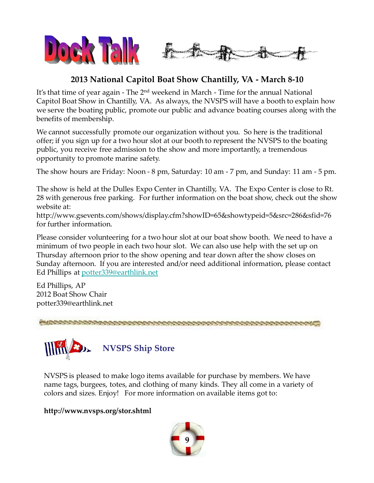

## **2013 National Capitol Boat Show Chantilly, VA - March 8-10**

It's that time of year again - The 2<sup>nd</sup> weekend in March - Time for the annual National Capitol Boat Show in Chantilly, VA. As always, the NVSPS will have a booth to explain how we serve the boating public, promote our public and advance boating courses along with the benefits of membership.

We cannot successfully promote our organization without you. So here is the traditional offer; if you sign up for a two hour slot at our booth to represent the NVSPS to the boating public, you receive free admission to the show and more importantly, a tremendous opportunity to promote marine safety.

The show hours are Friday: Noon - 8 pm, Saturday: 10 am - 7 pm, and Sunday: 11 am - 5 pm.

The show is held at the Dulles Expo Center in Chantilly, VA. The Expo Center is close to Rt. 28 with generous free parking. For further information on the boat show, check out the show website at:

http://www.gsevents.com/shows/display.cfm?showID=65&showtypeid=5&src=286&sfid=76 for further information.

Please consider volunteering for a two hour slot at our boat show booth. We need to have a minimum of two people in each two hour slot. We can also use help with the set up on Thursday afternoon prior to the show opening and tear down after the show closes on Sunday afternoon. If you are interested and/or need additional information, please contact Ed Phillips at potter339@earthlink.net

Ed Phillips, AP 2012 Boat Show Chair potter339@earthlink.net



NVSPS is pleased to make logo items available for purchase by members. We have name tags, burgees, totes, and clothing of many kinds. They all come in a variety of colors and sizes. Enjoy! For more information on available items got to:

**http://www.nvsps.org/stor.shtml**